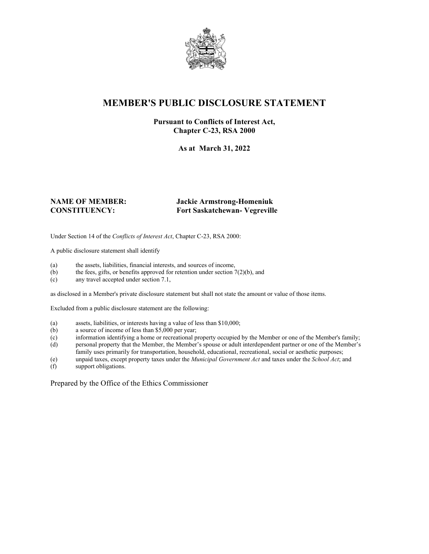

## **MEMBER'S PUBLIC DISCLOSURE STATEMENT**

#### **Pursuant to Conflicts of Interest Act, Chapter C-23, RSA 2000**

**As at March 31, 2022**

#### **NAME OF MEMBER: Jackie Armstrong-Homeniuk CONSTITUENCY: Fort Saskatchewan- Vegreville**

Under Section 14 of the *Conflicts of Interest Act*, Chapter C-23, RSA 2000:

A public disclosure statement shall identify

- (a) the assets, liabilities, financial interests, and sources of income,  $(b)$  the fees, gifts, or benefits approved for retention under section 7
- the fees, gifts, or benefits approved for retention under section  $7(2)(b)$ , and
- (c) any travel accepted under section 7.1,

as disclosed in a Member's private disclosure statement but shall not state the amount or value of those items.

Excluded from a public disclosure statement are the following:

- (a) assets, liabilities, or interests having a value of less than \$10,000;<br>(b) a source of income of less than \$5,000 per year;
- a source of income of less than  $$5,000$  per year;
- (c) information identifying a home or recreational property occupied by the Member or one of the Member's family;
- (d) personal property that the Member, the Member's spouse or adult interdependent partner or one of the Member's family uses primarily for transportation, household, educational, recreational, social or aesthetic purposes;
- (e) unpaid taxes, except property taxes under the *Municipal Government Act* and taxes under the *School Act*; and
- (f) support obligations.

Prepared by the Office of the Ethics Commissioner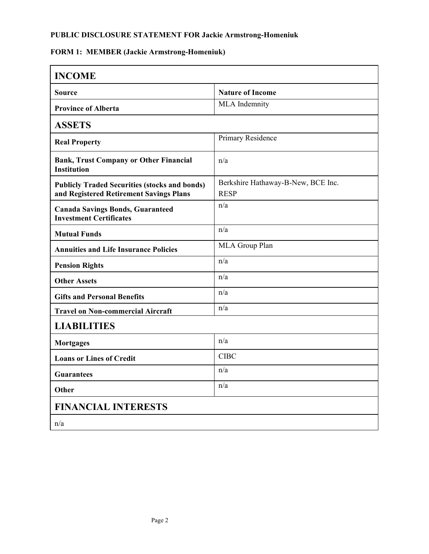## **FORM 1: MEMBER (Jackie Armstrong-Homeniuk)**

| <b>INCOME</b>                                                             |                                    |  |
|---------------------------------------------------------------------------|------------------------------------|--|
| Source                                                                    | <b>Nature of Income</b>            |  |
| <b>Province of Alberta</b>                                                | MLA Indemnity                      |  |
| <b>ASSETS</b>                                                             |                                    |  |
| <b>Real Property</b>                                                      | Primary Residence                  |  |
| <b>Bank, Trust Company or Other Financial</b><br><b>Institution</b>       | n/a                                |  |
| <b>Publicly Traded Securities (stocks and bonds)</b>                      | Berkshire Hathaway-B-New, BCE Inc. |  |
| and Registered Retirement Savings Plans                                   | <b>RESP</b>                        |  |
| <b>Canada Savings Bonds, Guaranteed</b><br><b>Investment Certificates</b> | n/a                                |  |
| <b>Mutual Funds</b>                                                       | n/a                                |  |
| <b>Annuities and Life Insurance Policies</b>                              | MLA Group Plan                     |  |
| <b>Pension Rights</b>                                                     | n/a                                |  |
| <b>Other Assets</b>                                                       | n/a                                |  |
| <b>Gifts and Personal Benefits</b>                                        | n/a                                |  |
| <b>Travel on Non-commercial Aircraft</b>                                  | n/a                                |  |
| <b>LIABILITIES</b>                                                        |                                    |  |
| <b>Mortgages</b>                                                          | n/a                                |  |
| <b>Loans or Lines of Credit</b>                                           | <b>CIBC</b>                        |  |
| <b>Guarantees</b>                                                         | n/a                                |  |
| <b>Other</b>                                                              | n/a                                |  |
| <b>FINANCIAL INTERESTS</b>                                                |                                    |  |
| n/a                                                                       |                                    |  |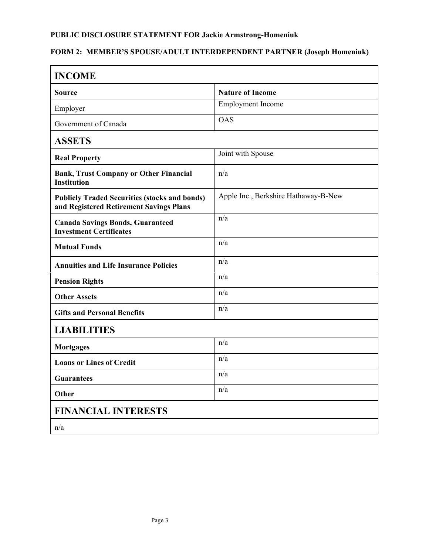# **FORM 2: MEMBER'S SPOUSE/ADULT INTERDEPENDENT PARTNER (Joseph Homeniuk)**

| <b>INCOME</b>                                                                                   |                                      |  |
|-------------------------------------------------------------------------------------------------|--------------------------------------|--|
| <b>Source</b>                                                                                   | <b>Nature of Income</b>              |  |
| Employer                                                                                        | Employment Income                    |  |
| Government of Canada                                                                            | <b>OAS</b>                           |  |
| <b>ASSETS</b>                                                                                   |                                      |  |
| <b>Real Property</b>                                                                            | Joint with Spouse                    |  |
| <b>Bank, Trust Company or Other Financial</b><br><b>Institution</b>                             | n/a                                  |  |
| <b>Publicly Traded Securities (stocks and bonds)</b><br>and Registered Retirement Savings Plans | Apple Inc., Berkshire Hathaway-B-New |  |
| <b>Canada Savings Bonds, Guaranteed</b><br><b>Investment Certificates</b>                       | n/a                                  |  |
| <b>Mutual Funds</b>                                                                             | n/a                                  |  |
| <b>Annuities and Life Insurance Policies</b>                                                    | n/a                                  |  |
| <b>Pension Rights</b>                                                                           | n/a                                  |  |
| <b>Other Assets</b>                                                                             | n/a                                  |  |
| <b>Gifts and Personal Benefits</b>                                                              | n/a                                  |  |
| <b>LIABILITIES</b>                                                                              |                                      |  |
| <b>Mortgages</b>                                                                                | n/a                                  |  |
| <b>Loans or Lines of Credit</b>                                                                 | n/a                                  |  |
| <b>Guarantees</b>                                                                               | n/a                                  |  |
| Other                                                                                           | n/a                                  |  |
| <b>FINANCIAL INTERESTS</b>                                                                      |                                      |  |
| n/a                                                                                             |                                      |  |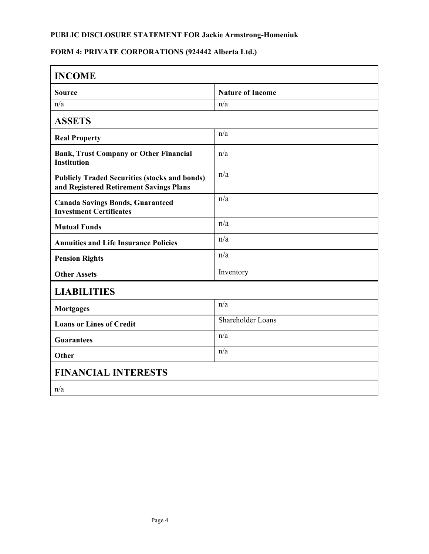# **FORM 4: PRIVATE CORPORATIONS (924442 Alberta Ltd.)**

| <b>INCOME</b>                                                                                   |                         |  |
|-------------------------------------------------------------------------------------------------|-------------------------|--|
| <b>Source</b>                                                                                   | <b>Nature of Income</b> |  |
| n/a                                                                                             | n/a                     |  |
| <b>ASSETS</b>                                                                                   |                         |  |
| <b>Real Property</b>                                                                            | n/a                     |  |
| <b>Bank, Trust Company or Other Financial</b><br><b>Institution</b>                             | n/a                     |  |
| <b>Publicly Traded Securities (stocks and bonds)</b><br>and Registered Retirement Savings Plans | n/a                     |  |
| <b>Canada Savings Bonds, Guaranteed</b><br><b>Investment Certificates</b>                       | n/a                     |  |
| <b>Mutual Funds</b>                                                                             | n/a                     |  |
| <b>Annuities and Life Insurance Policies</b>                                                    | n/a                     |  |
| <b>Pension Rights</b>                                                                           | n/a                     |  |
| <b>Other Assets</b>                                                                             | Inventory               |  |
| <b>LIABILITIES</b>                                                                              |                         |  |
| <b>Mortgages</b>                                                                                | n/a                     |  |
| <b>Loans or Lines of Credit</b>                                                                 | Shareholder Loans       |  |
| <b>Guarantees</b>                                                                               | n/a                     |  |
| Other                                                                                           | n/a                     |  |
| <b>FINANCIAL INTERESTS</b>                                                                      |                         |  |
| n/a                                                                                             |                         |  |